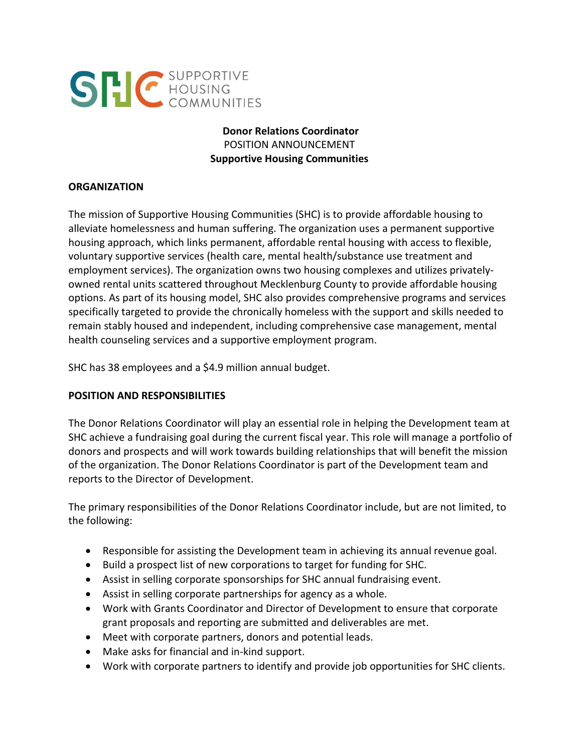

# **Donor Relations Coordinator** POSITION ANNOUNCEMENT **Supportive Housing Communities**

#### **ORGANIZATION**

The mission of Supportive Housing Communities (SHC) is to provide affordable housing to alleviate homelessness and human suffering. The organization uses a permanent supportive housing approach, which links permanent, affordable rental housing with access to flexible, voluntary supportive services (health care, mental health/substance use treatment and employment services). The organization owns two housing complexes and utilizes privatelyowned rental units scattered throughout Mecklenburg County to provide affordable housing options. As part of its housing model, SHC also provides comprehensive programs and services specifically targeted to provide the chronically homeless with the support and skills needed to remain stably housed and independent, including comprehensive case management, mental health counseling services and a supportive employment program.

SHC has 38 employees and a \$4.9 million annual budget.

# **POSITION AND RESPONSIBILITIES**

The Donor Relations Coordinator will play an essential role in helping the Development team at SHC achieve a fundraising goal during the current fiscal year. This role will manage a portfolio of donors and prospects and will work towards building relationships that will benefit the mission of the organization. The Donor Relations Coordinator is part of the Development team and reports to the Director of Development.

The primary responsibilities of the Donor Relations Coordinator include, but are not limited, to the following:

- Responsible for assisting the Development team in achieving its annual revenue goal.
- Build a prospect list of new corporations to target for funding for SHC.
- Assist in selling corporate sponsorships for SHC annual fundraising event.
- Assist in selling corporate partnerships for agency as a whole.
- Work with Grants Coordinator and Director of Development to ensure that corporate grant proposals and reporting are submitted and deliverables are met.
- Meet with corporate partners, donors and potential leads.
- Make asks for financial and in-kind support.
- Work with corporate partners to identify and provide job opportunities for SHC clients.